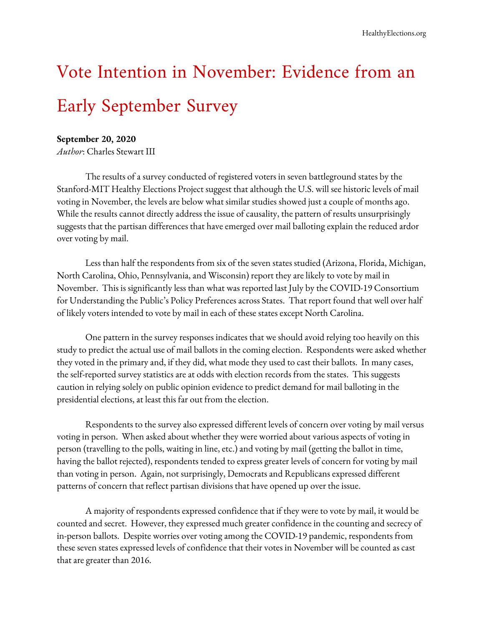# Vote Intention in November: Evidence from an Early September Survey

### **September 20, 2020**

*Author*: Charles Stewart III

The results of a survey conducted of registered voters in seven battleground states by the Stanford-MIT Healthy Elections Project suggest that although the U.S. will see historic levels of mail voting in November, the levels are below what similar studies showed just a couple of months ago. While the results cannot directly address the issue of causality, the pattern of results unsurprisingly suggests that the partisan differences that have emerged over mail balloting explain the reduced ardor over voting by mail.

Less than half the respondents from six of the seven states studied (Arizona, Florida, Michigan, North Carolina, Ohio, Pennsylvania, and Wisconsin) report they are likely to vote by mail in November. This is significantly less than what was reported last July by the COVID-19 [Consortium](https://www.kateto.net/covid19/COVID19%20CONSORTIUM%20REPORT%207%20VBM%20JULY%202020.pdf) for [Understanding](https://www.kateto.net/covid19/COVID19%20CONSORTIUM%20REPORT%207%20VBM%20JULY%202020.pdf) the Public's Policy Preferences across States. That report found that well over half of likely voters intended to vote by mail in each of these states except North Carolina.

One pattern in the survey responses indicates that we should avoid relying too heavily on this study to predict the actual use of mail ballots in the coming election. Respondents were asked whether they voted in the primary and, if they did, what mode they used to cast their ballots. In many cases, the self-reported survey statistics are at odds with election records from the states. This suggests caution in relying solely on public opinion evidence to predict demand for mail balloting in the presidential elections, at least this far out from the election.

Respondents to the survey also expressed different levels of concern over voting by mail versus voting in person. When asked about whether they were worried about various aspects of voting in person (travelling to the polls, waiting in line, etc.) and voting by mail (getting the ballot in time, having the ballot rejected), respondents tended to express greater levels of concern for voting by mail than voting in person. Again, not surprisingly, Democrats and Republicans expressed different patterns of concern that reflect partisan divisions that have opened up over the issue.

A majority of respondents expressed confidence that if they were to vote by mail, it would be counted and secret. However, they expressed much greater confidence in the counting and secrecy of in-person ballots. Despite worries over voting among the COVID-19 pandemic, respondents from these seven states expressed levels of confidence that their votes in November will be counted as cast that are greater than 2016.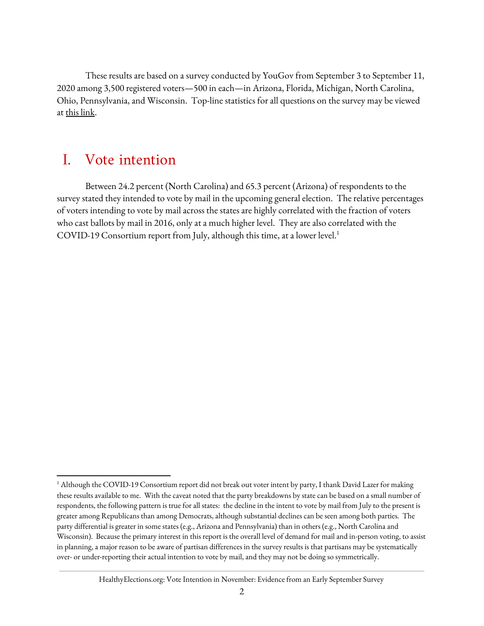These results are based on a survey conducted by YouGov from September 3 to September 11, 2020 among 3,500 registered voters—500 in each—in Arizona, Florida, Michigan, North Carolina, Ohio, Pennsylvania, and Wisconsin. Top-line statistics for all questions on the survey may be viewed a[t](http://healthyelections.org/sites/default/files/2020-09/Voter%20Intention%20Survey%20Topline%20Report.pdf) <u>this link</u>.

## I. Vote intention

Between 24.2 percent (North Carolina) and 65.3 percent (Arizona) of respondents to the survey stated they intended to vote by mail in the upcoming general election. The relative percentages of voters intending to vote by mail across the states are highly correlated with the fraction of voters who cast ballots by mail in 2016, only at a much higher level. They are also correlated with the COVID-19 Consortium report from July, although this time, at a lower level. 1

#### HealthyElections.org: Vote Intention in November: Evidence from an Early September Survey

<sup>&</sup>lt;sup>1</sup> Although the COVID-19 Consortium report did not break out voter intent by party, I thank David Lazer for making these results available to me. With the caveat noted that the party breakdowns by state can be based on a small number of respondents, the following pattern is true for all states: the decline in the intent to vote by mail from July to the present is greater among Republicans than among Democrats, although substantial declines can be seen among both parties. The party differential is greater in some states (e.g., Arizona and Pennsylvania) than in others (e.g., North Carolina and Wisconsin). Because the primary interest in this report is the overall level of demand for mail and in-person voting, to assist in planning, a major reason to be aware of partisan differences in the survey results is that partisans may be systematically over- or under-reporting their actual intention to vote by mail, and they may not be doing so symmetrically.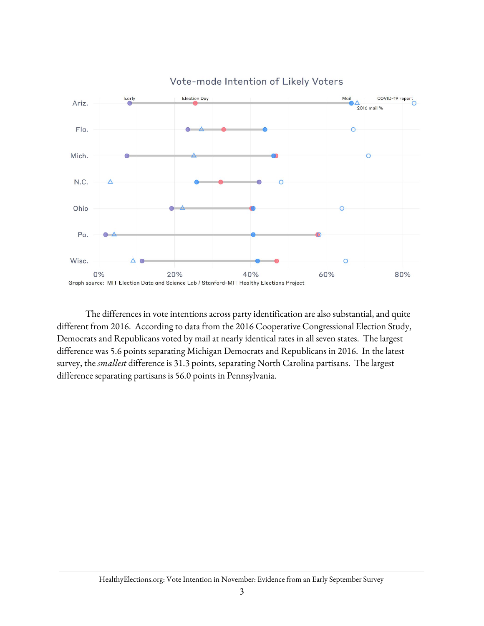

The differences in vote intentions across party identification are also substantial, and quite different from 2016. According to data from the 2016 Cooperative Congressional Election Study, Democrats and Republicans voted by mail at nearly identical rates in all seven states. The largest difference was 5.6 points separating Michigan Democrats and Republicans in 2016. In the latest survey, the *smallest* difference is 31.3 points, separating North Carolina partisans. The largest difference separating partisans is 56.0 points in Pennsylvania.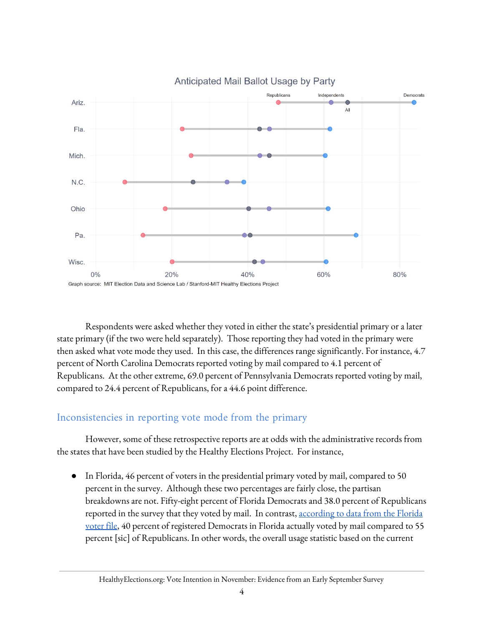

Respondents were asked whether they voted in either the state's presidential primary or a later state primary (if the two were held separately). Those reporting they had voted in the primary were then asked what vote mode they used. In this case, the differences range significantly. For instance, 4.7 percent of North Carolina Democrats reported voting by mail compared to 4.1 percent of Republicans. At the other extreme, 69.0 percent of Pennsylvania Democrats reported voting by mail, compared to 24.4 percent of Republicans, for a 44.6 point difference.

## Inconsistencies in reporting vote mode from the primary

However, some of these retrospective reports are at odds with the administrative records from the states that have been studied by the Healthy Elections Project. For instance,

• In Florida, 46 percent of voters in the presidential primary voted by mail, compared to 50 percent in the survey. Although these two percentages are fairly close, the partisan breakdowns are not. Fifty-eight percent of Florida Democrats and 38.0 percent of Republicans reported in the survey that they voted by mail. In contrast, [according](https://healthyelections.org/sites/default/files/2020-09/Florida%20Election%20Memo.pdf) to data from the Florida [voter](https://healthyelections.org/sites/default/files/2020-09/Florida%20Election%20Memo.pdf) file, 40 percent of registered Democrats in Florida actually voted by mail compared to 55 percent [sic] of Republicans. In other words, the overall usage statistic based on the current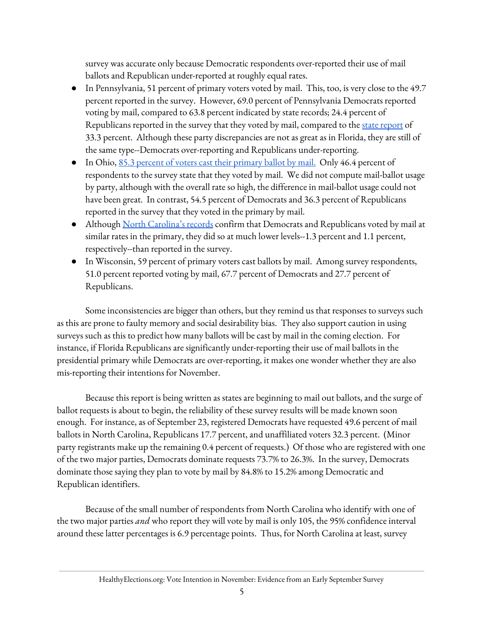survey was accurate only because Democratic respondents over-reported their use of mail ballots and Republican under-reported at roughly equal rates.

- In Pennsylvania, 51 percent of primary voters voted by mail. This, too, is very close to the 49.7 percent reported in the survey. However, 69.0 percent of Pennsylvania Democrats reported voting by mail, compared to 63.8 percent indicated by state records; 24.4 percent of Republicans [report](https://healthyelections.org/sites/default/files/2020-08/Pennsylvania%20Memo.pdf)ed in the survey that they voted by mail, compared to the state report of 33.3 percent. Although these party discrepancies are not as great as in Florida, they are still of the same type--Democrats over-reporting and Republicans under-reporting.
- In Ohio, <u>85.3 percent of voters cast their [primary](https://healthyelections.org/sites/default/files/2020-08/Ohio%20Election%20Memo(1).pdf) ballot by mail.</u> Only 46.4 percent of respondents to the survey state that they voted by mail. We did not compute mail-ballot usage by party, although with the overall rate so high, the difference in mail-ballot usage could not have been great. In contrast, 54.5 percent of Democrats and 36.3 percent of Republicans reported in the survey that they voted in the primary by mail.
- Although North [Carolina's](https://healthyelections.org/sites/default/files/2020-08/North%20Carolina%20Memo(1).pdf) records confirm that Democrats and Republicans voted by mail at similar rates in the primary, they did so at much lower levels--1.3 percent and 1.1 percent, respectively--than reported in the survey.
- In Wisconsin, 59 percent of primary voters cast ballots by mail. Among survey respondents, 51.0 percent reported voting by mail, 67.7 percent of Democrats and 27.7 percent of Republicans.

Some inconsistencies are bigger than others, but they remind us that responses to surveys such as this are prone to faulty memory and social desirability bias. They also support caution in using surveys such as this to predict how many ballots will be cast by mail in the coming election. For instance, if Florida Republicans are significantly under-reporting their use of mail ballots in the presidential primary while Democrats are over-reporting, it makes one wonder whether they are also mis-reporting their intentions for November.

Because this report is being written as states are beginning to mail out ballots, and the surge of ballot requests is about to begin, the reliability of these survey results will be made known soon enough. For instance, as of September 23, registered Democrats have requested 49.6 percent of mail ballots in North Carolina, Republicans 17.7 percent, and unaffiliated voters 32.3 percent. (Minor party registrants make up the remaining 0.4 percent of requests.) Of those who are registered with one of the two major parties, Democrats dominate requests 73.7% to 26.3%. In the survey, Democrats dominate those saying they plan to vote by mail by 84.8% to 15.2% among Democratic and Republican identifiers.

Because of the small number of respondents from North Carolina who identify with one of the two major parties *and* who report they will vote by mail is only 105, the 95% confidence interval around these latter percentages is 6.9 percentage points. Thus, for North Carolina at least, survey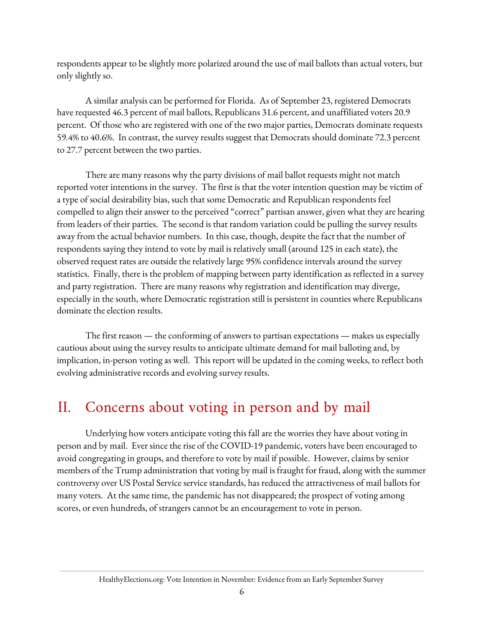respondents appear to be slightly more polarized around the use of mail ballots than actual voters, but only slightly so.

A similar analysis can be performed for Florida. As of September 23, registered Democrats have requested 46.3 percent of mail ballots, Republicans 31.6 percent, and unaffiliated voters 20.9 percent. Of those who are registered with one of the two major parties, Democrats dominate requests 59.4% to 40.6%. In contrast, the survey results suggest that Democrats should dominate 72.3 percent to 27.7 percent between the two parties.

There are many reasons why the party divisions of mail ballot requests might not match reported voter intentions in the survey. The first is that the voter intention question may be victim of a type of social desirability bias, such that some Democratic and Republican respondents feel compelled to align their answer to the perceived "correct" partisan answer, given what they are hearing from leaders of their parties. The second is that random variation could be pulling the survey results away from the actual behavior numbers. In this case, though, despite the fact that the number of respondents saying they intend to vote by mail is relatively small (around 125 in each state), the observed request rates are outside the relatively large 95% confidence intervals around the survey statistics. Finally, there is the problem of mapping between party identification as reflected in a survey and party registration. There are many reasons why registration and identification may diverge, especially in the south, where Democratic registration still is persistent in counties where Republicans dominate the election results.

The first reason — the conforming of answers to partisan expectations — makes us especially cautious about using the survey results to anticipate ultimate demand for mail balloting and, by implication, in-person voting as well. This report will be updated in the coming weeks, to reflect both evolving administrative records and evolving survey results.

## II. Concerns about voting in person and by mail

Underlying how voters anticipate voting this fall are the worries they have about voting in person and by mail. Ever since the rise of the COVID-19 pandemic, voters have been encouraged to avoid congregating in groups, and therefore to vote by mail if possible. However, claims by senior members of the Trump administration that voting by mail is fraught for fraud, along with the summer controversy over US Postal Service service standards, has reduced the attractiveness of mail ballots for many voters. At the same time, the pandemic has not disappeared; the prospect of voting among scores, or even hundreds, of strangers cannot be an encouragement to vote in person.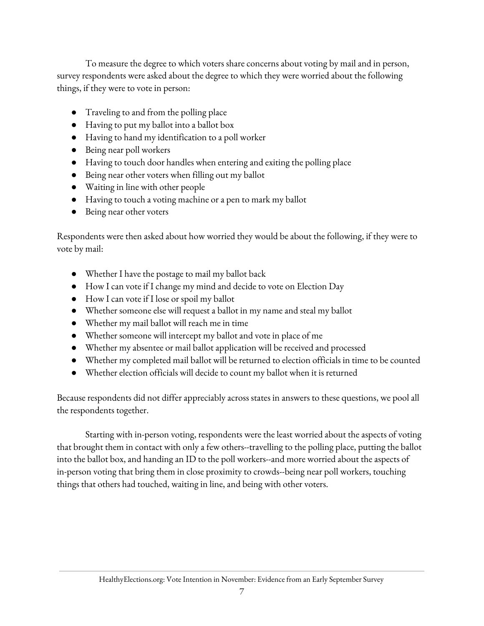To measure the degree to which voters share concerns about voting by mail and in person, survey respondents were asked about the degree to which they were worried about the following things, if they were to vote in person:

- Traveling to and from the polling place
- Having to put my ballot into a ballot box
- Having to hand my identification to a poll worker
- Being near poll workers
- Having to touch door handles when entering and exiting the polling place
- Being near other voters when filling out my ballot
- Waiting in line with other people
- Having to touch a voting machine or a pen to mark my ballot
- Being near other voters

Respondents were then asked about how worried they would be about the following, if they were to vote by mail:

- Whether I have the postage to mail my ballot back
- How I can vote if I change my mind and decide to vote on Election Day
- How I can vote if I lose or spoil my ballot
- Whether someone else will request a ballot in my name and steal my ballot
- Whether my mail ballot will reach me in time
- Whether someone will intercept my ballot and vote in place of me
- Whether my absentee or mail ballot application will be received and processed
- Whether my completed mail ballot will be returned to election officials in time to be counted
- Whether election officials will decide to count my ballot when it is returned

Because respondents did not differ appreciably across states in answers to these questions, we pool all the respondents together.

Starting with in-person voting, respondents were the least worried about the aspects of voting that brought them in contact with only a few others--travelling to the polling place, putting the ballot into the ballot box, and handing an ID to the poll workers--and more worried about the aspects of in-person voting that bring them in close proximity to crowds--being near poll workers, touching things that others had touched, waiting in line, and being with other voters.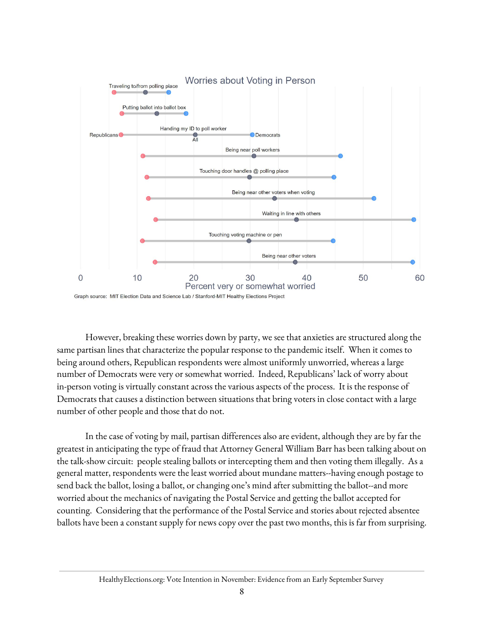

Graph source: MIT Election Data and Science Lab / Stanford-MIT Healthy Elections Project

However, breaking these worries down by party, we see that anxieties are structured along the same partisan lines that characterize the popular response to the pandemic itself. When it comes to being around others, Republican respondents were almost uniformly unworried, whereas a large number of Democrats were very or somewhat worried. Indeed, Republicans' lack of worry about in-person voting is virtually constant across the various aspects of the process. It is the response of Democrats that causes a distinction between situations that bring voters in close contact with a large number of other people and those that do not.

In the case of voting by mail, partisan differences also are evident, although they are by far the greatest in anticipating the type of fraud that Attorney General William Barr has been talking about on the talk-show circuit: people stealing ballots or intercepting them and then voting them illegally. As a general matter, respondents were the least worried about mundane matters--having enough postage to send back the ballot, losing a ballot, or changing one's mind after submitting the ballot--and more worried about the mechanics of navigating the Postal Service and getting the ballot accepted for counting. Considering that the performance of the Postal Service and stories about rejected absentee ballots have been a constant supply for news copy over the past two months, this is far from surprising.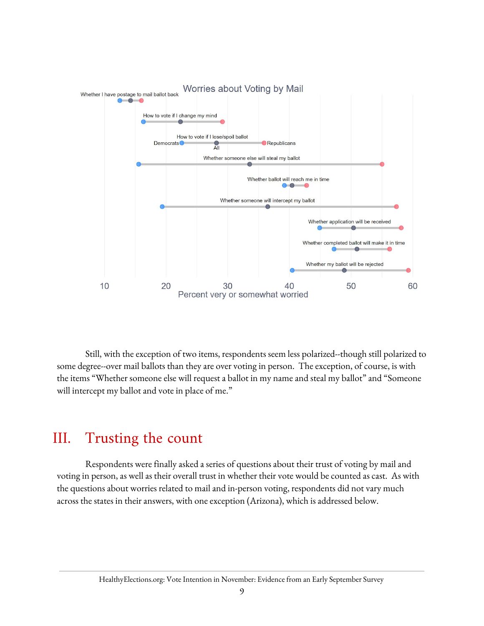

Still, with the exception of two items, respondents seem less polarized--though still polarized to some degree--over mail ballots than they are over voting in person. The exception, of course, is with the items "Whether someone else will request a ballot in my name and steal my ballot" and "Someone will intercept my ballot and vote in place of me."

## III. Trusting the count

Respondents were finally asked a series of questions about their trust of voting by mail and voting in person, as well as their overall trust in whether their vote would be counted as cast. As with the questions about worries related to mail and in-person voting, respondents did not vary much across the states in their answers, with one exception (Arizona), which is addressed below.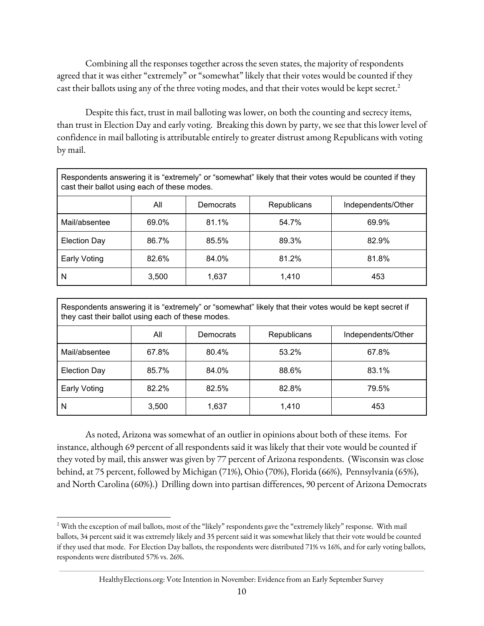Combining all the responses together across the seven states, the majority of respondents agreed that it was either "extremely" or "somewhat" likely that their votes would be counted if they cast their ballots using any of the three voting modes, and that their votes would be kept secret. 2

Despite this fact, trust in mail balloting was lower, on both the counting and secrecy items, than trust in Election Day and early voting. Breaking this down by party, we see that this lower level of confidence in mail balloting is attributable entirely to greater distrust among Republicans with voting by mail.

| Respondents answering it is "extremely" or "somewhat" likely that their votes would be counted if they<br>cast their ballot using each of these modes. |       |           |             |                    |  |  |
|--------------------------------------------------------------------------------------------------------------------------------------------------------|-------|-----------|-------------|--------------------|--|--|
|                                                                                                                                                        | All   | Democrats | Republicans | Independents/Other |  |  |
| Mail/absentee                                                                                                                                          | 69.0% | 81.1%     | 54.7%       | 69.9%              |  |  |
| <b>Election Day</b>                                                                                                                                    | 86.7% | 85.5%     | 89.3%       | 82.9%              |  |  |
| Early Voting                                                                                                                                           | 82.6% | 84.0%     | 81.2%       | 81.8%              |  |  |
| N                                                                                                                                                      | 3,500 | 1,637     | 1.410       | 453                |  |  |

| Respondents answering it is "extremely" or "somewhat" likely that their votes would be kept secret if<br>they cast their ballot using each of these modes. |       |           |                    |                    |  |  |
|------------------------------------------------------------------------------------------------------------------------------------------------------------|-------|-----------|--------------------|--------------------|--|--|
|                                                                                                                                                            | All   | Democrats | <b>Republicans</b> | Independents/Other |  |  |
| Mail/absentee                                                                                                                                              | 67.8% | 80.4%     | 53.2%              | 67.8%              |  |  |
| <b>Election Day</b>                                                                                                                                        | 85.7% | 84.0%     | 88.6%              | 83.1%              |  |  |
| <b>Early Voting</b>                                                                                                                                        | 82.2% | 82.5%     | 82.8%              | 79.5%              |  |  |
| N                                                                                                                                                          | 3,500 | 1,637     | 1.410              | 453                |  |  |

As noted, Arizona was somewhat of an outlier in opinions about both of these items. For instance, although 69 percent of all respondents said it was likely that their vote would be counted if they voted by mail, this answer was given by 77 percent of Arizona respondents. (Wisconsin was close behind, at 75 percent, followed by Michigan (71%), Ohio (70%), Florida (66%), Pennsylvania (65%), and North Carolina (60%).) Drilling down into partisan differences, 90 percent of Arizona Democrats

HealthyElections.org: Vote Intention in November: Evidence from an Early September Survey

<sup>&</sup>lt;sup>2</sup> With the exception of mail ballots, most of the "likely" respondents gave the "extremely likely" response. With mail ballots, 34 percent said it was extremely likely and 35 percent said it was somewhat likely that their vote would be counted if they used that mode. For Election Day ballots, the respondents were distributed 71% vs 16%, and for early voting ballots, respondents were distributed 57% vs. 26%.